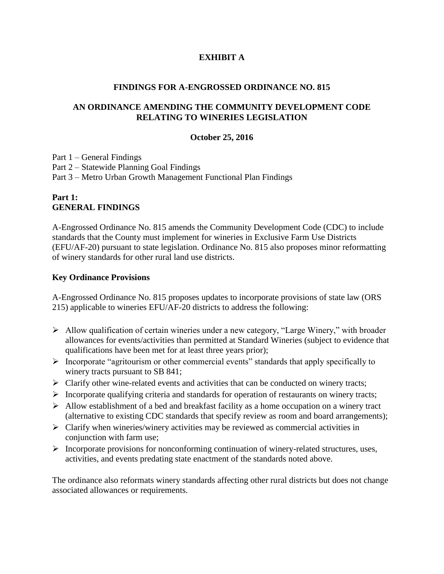# **EXHIBIT A**

#### **FINDINGS FOR A-ENGROSSED ORDINANCE NO. 815**

#### **AN ORDINANCE AMENDING THE COMMUNITY DEVELOPMENT CODE RELATING TO WINERIES LEGISLATION**

#### **October 25, 2016**

Part 1 – General Findings Part 2 – Statewide Planning Goal Findings Part 3 – Metro Urban Growth Management Functional Plan Findings

## **Part 1: GENERAL FINDINGS**

A-Engrossed Ordinance No. 815 amends the Community Development Code (CDC) to include standards that the County must implement for wineries in Exclusive Farm Use Districts (EFU/AF-20) pursuant to state legislation. Ordinance No. 815 also proposes minor reformatting of winery standards for other rural land use districts.

#### **Key Ordinance Provisions**

A-Engrossed Ordinance No. 815 proposes updates to incorporate provisions of state law (ORS 215) applicable to wineries EFU/AF-20 districts to address the following:

- $\triangleright$  Allow qualification of certain wineries under a new category, "Large Winery," with broader allowances for events/activities than permitted at Standard Wineries (subject to evidence that qualifications have been met for at least three years prior);
- $\triangleright$  Incorporate "agritourism or other commercial events" standards that apply specifically to winery tracts pursuant to SB 841;
- $\triangleright$  Clarify other wine-related events and activities that can be conducted on winery tracts;
- $\triangleright$  Incorporate qualifying criteria and standards for operation of restaurants on winery tracts;
- $\triangleright$  Allow establishment of a bed and breakfast facility as a home occupation on a winery tract (alternative to existing CDC standards that specify review as room and board arrangements);
- $\triangleright$  Clarify when wineries/winery activities may be reviewed as commercial activities in conjunction with farm use;
- $\triangleright$  Incorporate provisions for nonconforming continuation of winery-related structures, uses, activities, and events predating state enactment of the standards noted above.

The ordinance also reformats winery standards affecting other rural districts but does not change associated allowances or requirements.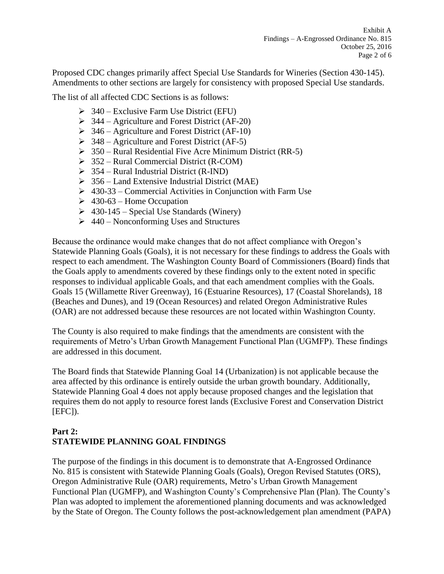Proposed CDC changes primarily affect Special Use Standards for Wineries (Section 430-145). Amendments to other sections are largely for consistency with proposed Special Use standards.

The list of all affected CDC Sections is as follows:

- $\geq$  340 Exclusive Farm Use District (EFU)
- $\geq$  344 Agriculture and Forest District (AF-20)
- $\geq$  346 Agriculture and Forest District (AF-10)
- $\geq$  348 Agriculture and Forest District (AF-5)
- $\geq$  350 Rural Residential Five Acre Minimum District (RR-5)
- $\geq 352$  Rural Commercial District (R-COM)
- $\geq$  354 Rural Industrial District (R-IND)
- $\geq$  356 Land Extensive Industrial District (MAE)
- $\geq 430-33$  Commercial Activities in Conjunction with Farm Use
- $\geq 430-63$  Home Occupation
- $\geq 430-145$  Special Use Standards (Winery)
- $\geq 440$  Nonconforming Uses and Structures

Because the ordinance would make changes that do not affect compliance with Oregon's Statewide Planning Goals (Goals), it is not necessary for these findings to address the Goals with respect to each amendment. The Washington County Board of Commissioners (Board) finds that the Goals apply to amendments covered by these findings only to the extent noted in specific responses to individual applicable Goals, and that each amendment complies with the Goals. Goals 15 (Willamette River Greenway), 16 (Estuarine Resources), 17 (Coastal Shorelands), 18 (Beaches and Dunes), and 19 (Ocean Resources) and related Oregon Administrative Rules (OAR) are not addressed because these resources are not located within Washington County.

The County is also required to make findings that the amendments are consistent with the requirements of Metro's Urban Growth Management Functional Plan (UGMFP). These findings are addressed in this document.

The Board finds that Statewide Planning Goal 14 (Urbanization) is not applicable because the area affected by this ordinance is entirely outside the urban growth boundary. Additionally, Statewide Planning Goal 4 does not apply because proposed changes and the legislation that requires them do not apply to resource forest lands (Exclusive Forest and Conservation District  $[EFC]$ ).

# **Part 2: STATEWIDE PLANNING GOAL FINDINGS**

The purpose of the findings in this document is to demonstrate that A-Engrossed Ordinance No. 815 is consistent with Statewide Planning Goals (Goals), Oregon Revised Statutes (ORS), Oregon Administrative Rule (OAR) requirements, Metro's Urban Growth Management Functional Plan (UGMFP), and Washington County's Comprehensive Plan (Plan). The County's Plan was adopted to implement the aforementioned planning documents and was acknowledged by the State of Oregon. The County follows the post-acknowledgement plan amendment (PAPA)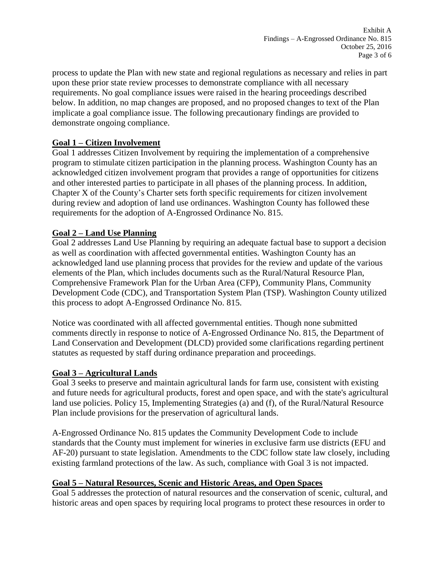process to update the Plan with new state and regional regulations as necessary and relies in part upon these prior state review processes to demonstrate compliance with all necessary requirements. No goal compliance issues were raised in the hearing proceedings described below. In addition, no map changes are proposed, and no proposed changes to text of the Plan implicate a goal compliance issue. The following precautionary findings are provided to demonstrate ongoing compliance.

# **Goal 1 – Citizen Involvement**

Goal 1 addresses Citizen Involvement by requiring the implementation of a comprehensive program to stimulate citizen participation in the planning process. Washington County has an acknowledged citizen involvement program that provides a range of opportunities for citizens and other interested parties to participate in all phases of the planning process. In addition, Chapter X of the County's Charter sets forth specific requirements for citizen involvement during review and adoption of land use ordinances. Washington County has followed these requirements for the adoption of A-Engrossed Ordinance No. 815.

# **Goal 2 – Land Use Planning**

Goal 2 addresses Land Use Planning by requiring an adequate factual base to support a decision as well as coordination with affected governmental entities. Washington County has an acknowledged land use planning process that provides for the review and update of the various elements of the Plan, which includes documents such as the Rural/Natural Resource Plan, Comprehensive Framework Plan for the Urban Area (CFP), Community Plans, Community Development Code (CDC), and Transportation System Plan (TSP). Washington County utilized this process to adopt A-Engrossed Ordinance No. 815.

Notice was coordinated with all affected governmental entities. Though none submitted comments directly in response to notice of A-Engrossed Ordinance No. 815, the Department of Land Conservation and Development (DLCD) provided some clarifications regarding pertinent statutes as requested by staff during ordinance preparation and proceedings.

## **Goal 3 – Agricultural Lands**

Goal 3 seeks to preserve and maintain agricultural lands for farm use, consistent with existing and future needs for agricultural products, forest and open space, and with the state's agricultural land use policies. Policy 15, Implementing Strategies (a) and (f), of the Rural/Natural Resource Plan include provisions for the preservation of agricultural lands.

A-Engrossed Ordinance No. 815 updates the Community Development Code to include standards that the County must implement for wineries in exclusive farm use districts (EFU and AF-20) pursuant to state legislation. Amendments to the CDC follow state law closely, including existing farmland protections of the law. As such, compliance with Goal 3 is not impacted.

## **Goal 5 – Natural Resources, Scenic and Historic Areas, and Open Spaces**

Goal 5 addresses the protection of natural resources and the conservation of scenic, cultural, and historic areas and open spaces by requiring local programs to protect these resources in order to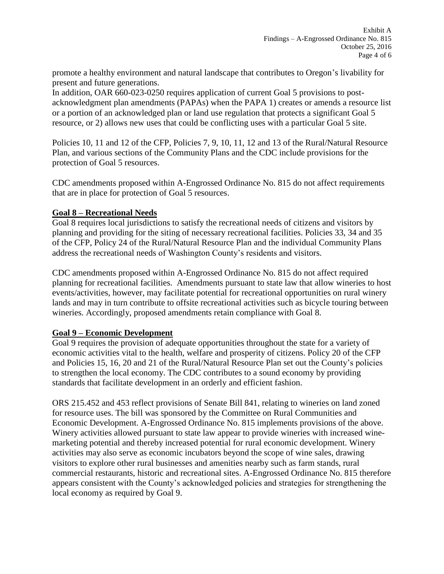promote a healthy environment and natural landscape that contributes to Oregon's livability for present and future generations.

In addition, OAR 660-023-0250 requires application of current Goal 5 provisions to postacknowledgment plan amendments (PAPAs) when the PAPA 1) creates or amends a resource list or a portion of an acknowledged plan or land use regulation that protects a significant Goal 5 resource, or 2) allows new uses that could be conflicting uses with a particular Goal 5 site.

Policies 10, 11 and 12 of the CFP, Policies 7, 9, 10, 11, 12 and 13 of the Rural/Natural Resource Plan, and various sections of the Community Plans and the CDC include provisions for the protection of Goal 5 resources.

CDC amendments proposed within A-Engrossed Ordinance No. 815 do not affect requirements that are in place for protection of Goal 5 resources.

## **Goal 8 – Recreational Needs**

Goal 8 requires local jurisdictions to satisfy the recreational needs of citizens and visitors by planning and providing for the siting of necessary recreational facilities. Policies 33, 34 and 35 of the CFP, Policy 24 of the Rural/Natural Resource Plan and the individual Community Plans address the recreational needs of Washington County's residents and visitors.

CDC amendments proposed within A-Engrossed Ordinance No. 815 do not affect required planning for recreational facilities. Amendments pursuant to state law that allow wineries to host events/activities, however, may facilitate potential for recreational opportunities on rural winery lands and may in turn contribute to offsite recreational activities such as bicycle touring between wineries. Accordingly, proposed amendments retain compliance with Goal 8.

#### **Goal 9 – Economic Development**

Goal 9 requires the provision of adequate opportunities throughout the state for a variety of economic activities vital to the health, welfare and prosperity of citizens. Policy 20 of the CFP and Policies 15, 16, 20 and 21 of the Rural/Natural Resource Plan set out the County's policies to strengthen the local economy. The CDC contributes to a sound economy by providing standards that facilitate development in an orderly and efficient fashion.

ORS 215.452 and 453 reflect provisions of Senate Bill 841, relating to wineries on land zoned for resource uses. The bill was sponsored by the Committee on Rural Communities and Economic Development. A-Engrossed Ordinance No. 815 implements provisions of the above. Winery activities allowed pursuant to state law appear to provide wineries with increased winemarketing potential and thereby increased potential for rural economic development. Winery activities may also serve as economic incubators beyond the scope of wine sales, drawing visitors to explore other rural businesses and amenities nearby such as farm stands, rural commercial restaurants, historic and recreational sites. A-Engrossed Ordinance No. 815 therefore appears consistent with the County's acknowledged policies and strategies for strengthening the local economy as required by Goal 9.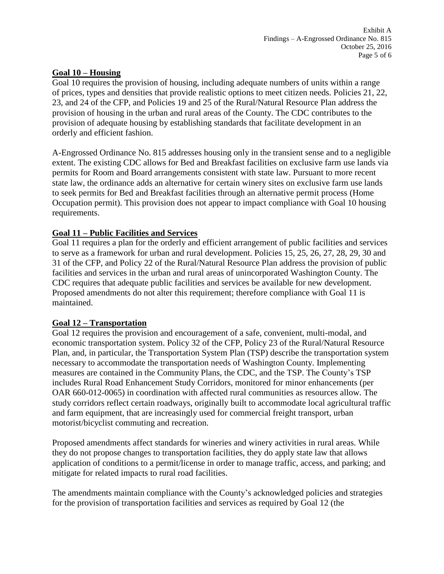## **Goal 10 – Housing**

Goal 10 requires the provision of housing, including adequate numbers of units within a range of prices, types and densities that provide realistic options to meet citizen needs. Policies 21, 22, 23, and 24 of the CFP, and Policies 19 and 25 of the Rural/Natural Resource Plan address the provision of housing in the urban and rural areas of the County. The CDC contributes to the provision of adequate housing by establishing standards that facilitate development in an orderly and efficient fashion.

A-Engrossed Ordinance No. 815 addresses housing only in the transient sense and to a negligible extent. The existing CDC allows for Bed and Breakfast facilities on exclusive farm use lands via permits for Room and Board arrangements consistent with state law. Pursuant to more recent state law, the ordinance adds an alternative for certain winery sites on exclusive farm use lands to seek permits for Bed and Breakfast facilities through an alternative permit process (Home Occupation permit). This provision does not appear to impact compliance with Goal 10 housing requirements.

# **Goal 11 – Public Facilities and Services**

Goal 11 requires a plan for the orderly and efficient arrangement of public facilities and services to serve as a framework for urban and rural development. Policies 15, 25, 26, 27, 28, 29, 30 and 31 of the CFP, and Policy 22 of the Rural/Natural Resource Plan address the provision of public facilities and services in the urban and rural areas of unincorporated Washington County. The CDC requires that adequate public facilities and services be available for new development. Proposed amendments do not alter this requirement; therefore compliance with Goal 11 is maintained.

## **Goal 12 – Transportation**

Goal 12 requires the provision and encouragement of a safe, convenient, multi-modal, and economic transportation system. Policy 32 of the CFP, Policy 23 of the Rural/Natural Resource Plan, and, in particular, the Transportation System Plan (TSP) describe the transportation system necessary to accommodate the transportation needs of Washington County. Implementing measures are contained in the Community Plans, the CDC, and the TSP. The County's TSP includes Rural Road Enhancement Study Corridors, monitored for minor enhancements (per OAR 660-012-0065) in coordination with affected rural communities as resources allow. The study corridors reflect certain roadways, originally built to accommodate local agricultural traffic and farm equipment, that are increasingly used for commercial freight transport, urban motorist/bicyclist commuting and recreation.

Proposed amendments affect standards for wineries and winery activities in rural areas. While they do not propose changes to transportation facilities, they do apply state law that allows application of conditions to a permit/license in order to manage traffic, access, and parking; and mitigate for related impacts to rural road facilities.

The amendments maintain compliance with the County's acknowledged policies and strategies for the provision of transportation facilities and services as required by Goal 12 (the